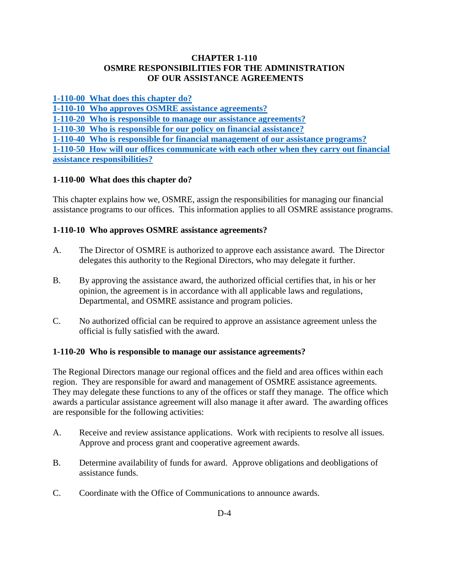## **CHAPTER 1-110 OSMRE RESPONSIBILITIES FOR THE ADMINISTRATION OF OUR ASSISTANCE AGREEMENTS**

**[1-110-00 What does this chapter do?](#page-0-0)**

**[1-110-10 Who approves OSMRE assistance agreements?](#page-0-1)**

**[1-110-20 Who is responsible to manage our assistance agreements?](#page-0-2)**

**[1-110-30 Who is responsible for our policy on financial assistance?](#page-1-0)**

**[1-110-40 Who is responsible for financial management of our assistance programs?](#page-2-0)**

**[1-110-50 How will our offices communicate with each other when they carry out financial](#page-2-1)  [assistance responsibilities?](#page-2-1)**

# <span id="page-0-0"></span>**1-110-00 What does this chapter do?**

This chapter explains how we, OSMRE, assign the responsibilities for managing our financial assistance programs to our offices. This information applies to all OSMRE assistance programs.

# <span id="page-0-1"></span>**1-110-10 Who approves OSMRE assistance agreements?**

- A. The Director of OSMRE is authorized to approve each assistance award. The Director delegates this authority to the Regional Directors, who may delegate it further.
- B. By approving the assistance award, the authorized official certifies that, in his or her opinion, the agreement is in accordance with all applicable laws and regulations, Departmental, and OSMRE assistance and program policies.
- C. No authorized official can be required to approve an assistance agreement unless the official is fully satisfied with the award.

# <span id="page-0-2"></span>**1-110-20 Who is responsible to manage our assistance agreements?**

The Regional Directors manage our regional offices and the field and area offices within each region. They are responsible for award and management of OSMRE assistance agreements. They may delegate these functions to any of the offices or staff they manage. The office which awards a particular assistance agreement will also manage it after award. The awarding offices are responsible for the following activities:

- A. Receive and review assistance applications. Work with recipients to resolve all issues. Approve and process grant and cooperative agreement awards.
- B. Determine availability of funds for award. Approve obligations and deobligations of assistance funds.
- C. Coordinate with the Office of Communications to announce awards.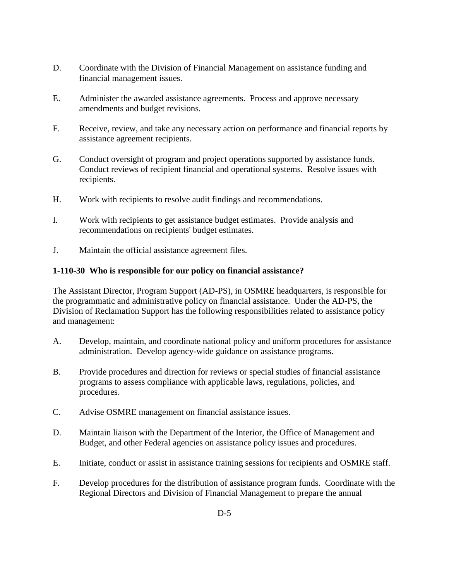- D. Coordinate with the Division of Financial Management on assistance funding and financial management issues.
- E. Administer the awarded assistance agreements. Process and approve necessary amendments and budget revisions.
- F. Receive, review, and take any necessary action on performance and financial reports by assistance agreement recipients.
- G. Conduct oversight of program and project operations supported by assistance funds. Conduct reviews of recipient financial and operational systems. Resolve issues with recipients.
- H. Work with recipients to resolve audit findings and recommendations.
- I. Work with recipients to get assistance budget estimates. Provide analysis and recommendations on recipients' budget estimates.
- J. Maintain the official assistance agreement files.

#### <span id="page-1-0"></span>**1-110-30 Who is responsible for our policy on financial assistance?**

The Assistant Director, Program Support (AD-PS), in OSMRE headquarters, is responsible for the programmatic and administrative policy on financial assistance. Under the AD-PS, the Division of Reclamation Support has the following responsibilities related to assistance policy and management:

- A. Develop, maintain, and coordinate national policy and uniform procedures for assistance administration. Develop agency-wide guidance on assistance programs.
- B. Provide procedures and direction for reviews or special studies of financial assistance programs to assess compliance with applicable laws, regulations, policies, and procedures.
- C. Advise OSMRE management on financial assistance issues.
- D. Maintain liaison with the Department of the Interior, the Office of Management and Budget, and other Federal agencies on assistance policy issues and procedures.
- E. Initiate, conduct or assist in assistance training sessions for recipients and OSMRE staff.
- F. Develop procedures for the distribution of assistance program funds. Coordinate with the Regional Directors and Division of Financial Management to prepare the annual